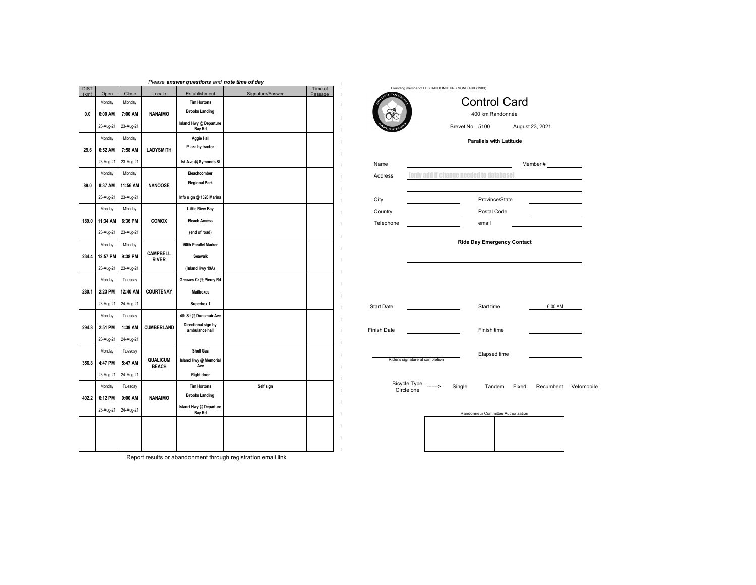|                     |           |           |                                 | Please answer questions and note time of day |                  |                    |    |                   |                                                    |                 |                |                                    |               |
|---------------------|-----------|-----------|---------------------------------|----------------------------------------------|------------------|--------------------|----|-------------------|----------------------------------------------------|-----------------|----------------|------------------------------------|---------------|
| <b>DIST</b><br>(km) | Open      | Close     | Locale                          | Establishment                                | Signature/Answer | Time of<br>Passage |    |                   | Founding member of LES RANDONNEURS MONDIAUX (1983) |                 |                |                                    |               |
|                     | Monday    | Monday    |                                 | <b>Tim Hortons</b>                           |                  |                    |    |                   |                                                    |                 |                | <b>Control Card</b>                |               |
| 0.0                 | 6:00 AM   | 7:00 AM   | <b>NANAIMO</b>                  | <b>Brooks Landing</b>                        |                  |                    |    |                   |                                                    |                 |                | 400 km Randonnée                   |               |
|                     | 23-Aug-21 | 23-Aug-21 |                                 | Island Hwy @ Departure<br><b>Bay Rd</b>      |                  |                    | п  |                   |                                                    | Brevet No. 5100 |                |                                    | August 23, 20 |
|                     | Monday    | Monday    |                                 | <b>Aggie Hall</b>                            |                  |                    | п  |                   |                                                    |                 |                | <b>Parallels with Latitude</b>     |               |
| 29.6                | 6:52 AM   | 7:58 AM   | <b>LADYSMITH</b>                | Plaza by tractor                             |                  |                    |    |                   |                                                    |                 |                |                                    |               |
|                     | 23-Aug-21 | 23-Aug-21 |                                 | 1st Ave @ Symonds St                         |                  |                    |    | Name              |                                                    |                 |                |                                    | Member #      |
|                     | Monday    | Monday    |                                 | Beachcomber                                  |                  |                    |    | Address           | <b>Conly add if change needed to database)</b>     |                 |                |                                    |               |
| 89.0                | 8:37 AM   | 11:56 AM  | <b>NANOOSE</b>                  | <b>Regional Park</b>                         |                  |                    |    |                   |                                                    |                 |                |                                    |               |
|                     | 23-Aug-21 | 23-Aug-21 |                                 | Info sign @ 1326 Marina                      |                  |                    |    | City              |                                                    |                 | Province/State |                                    |               |
|                     | Monday    | Monday    |                                 | <b>Little River Bay</b>                      |                  |                    |    | Country           |                                                    |                 | Postal Code    |                                    |               |
| 189.0               | 11:34 AM  | 6:36 PM   | COMOX                           | <b>Beach Access</b>                          |                  |                    |    | Telephone         |                                                    |                 | email          |                                    |               |
|                     | 23-Aug-21 | 23-Aug-21 |                                 | (end of road)                                |                  |                    |    |                   |                                                    |                 |                |                                    |               |
|                     | Monday    | Monday    |                                 | 50th Parallel Marker                         |                  |                    |    |                   |                                                    |                 |                | <b>Ride Day Emergency Contact</b>  |               |
| 234.4               | 12:57 PM  | 9:38 PM   | <b>CAMPBELL</b><br><b>RIVER</b> | Seawalk                                      |                  |                    |    |                   |                                                    |                 |                |                                    |               |
|                     | 23-Aug-21 | 23-Aug-21 |                                 | (Island Hwy 19A)                             |                  |                    |    |                   |                                                    |                 |                |                                    |               |
|                     | Monday    | Tuesday   |                                 | Greaves Cr @ Piercy Rd                       |                  |                    |    |                   |                                                    |                 |                |                                    |               |
| 280.1               | 2:23 PM   | 12:40 AM  | COURTENAY                       | Mailboxes                                    |                  |                    |    |                   |                                                    |                 |                |                                    |               |
|                     | 23-Aug-21 | 24-Aug-21 |                                 | Superbox 1                                   |                  |                    |    | <b>Start Date</b> |                                                    |                 | Start time     |                                    |               |
|                     | Monday    | Tuesday   |                                 | 4th St @ Dunsmuir Ave                        |                  |                    |    |                   |                                                    |                 |                |                                    |               |
| 294.8               | 2:51 PM   | 1:39 AM   | <b>CUMBERLAND</b>               | Directional sign by<br>ambulance hall        |                  |                    | J. | Finish Date       |                                                    |                 | Finish time    |                                    |               |
|                     | 23-Aug-21 | 24-Aug-21 |                                 |                                              |                  |                    |    |                   |                                                    |                 |                |                                    |               |
|                     | Monday    | Tuesday   |                                 | <b>Shell Gas</b>                             |                  |                    |    |                   |                                                    |                 | Elapsed time   |                                    |               |
| 356.8               | 4:47 PM   | 5:47 AM   | <b>QUALICUM</b><br><b>BEACH</b> | Island Hwy @ Memorial<br>Ave                 |                  |                    |    |                   | Rider's signature at completion                    |                 |                |                                    |               |
|                     | 23-Aug-21 | 24-Aug-21 |                                 | <b>Right door</b>                            |                  |                    |    |                   |                                                    |                 |                |                                    |               |
|                     | Monday    | Tuesday   |                                 | <b>Tim Hortons</b>                           | Self sign        |                    |    |                   | Bicycle Type _______><br>Circle one                | Single          | Tandem         |                                    | Fixed<br>Rec  |
| 402.2               | 6:12 PM   | 9:00 AM   | <b>NANAIMO</b>                  | <b>Brooks Landing</b>                        |                  |                    |    |                   |                                                    |                 |                |                                    |               |
|                     | 23-Aug-21 | 24-Aug-21 |                                 | Island Hwy @ Departure<br><b>Bay Rd</b>      |                  |                    |    |                   |                                                    |                 |                | Randonneur Committee Authorization |               |
|                     |           |           |                                 |                                              |                  |                    |    |                   |                                                    |                 |                |                                    |               |
|                     |           |           |                                 |                                              |                  |                    |    |                   |                                                    |                 |                |                                    |               |
|                     |           |           |                                 |                                              |                  |                    |    |                   |                                                    |                 |                |                                    |               |
|                     |           |           |                                 |                                              |                  |                    |    |                   |                                                    |                 |                |                                    |               |



August 23, 2021 Brevet No. 5100

## **Parallels with Latitude**

| Name      |                                                | Member# |
|-----------|------------------------------------------------|---------|
| Address   | <b>Conly add if change needed to database)</b> |         |
|           |                                                |         |
| City      | Province/State                                 |         |
| Country   | Postal Code                                    |         |
| Telephone | email                                          |         |

## **Ride Day Emergency Contact**

| <b>Start Date</b>                            | Start time      | 6:00 AM   |            |
|----------------------------------------------|-----------------|-----------|------------|
| Finish Date                                  | Finish time     |           |            |
| Rider's signature at completion              | Elapsed time    |           |            |
| Bicycle Type ______><br>Single<br>Circle one | Tandem<br>Fixed | Recumbent | Velomobile |

| Randonneur Committee Authorization |  |  |  |  |  |
|------------------------------------|--|--|--|--|--|
|                                    |  |  |  |  |  |
|                                    |  |  |  |  |  |
|                                    |  |  |  |  |  |
|                                    |  |  |  |  |  |
|                                    |  |  |  |  |  |
|                                    |  |  |  |  |  |
|                                    |  |  |  |  |  |
|                                    |  |  |  |  |  |

Report results or abandonment through registration email link